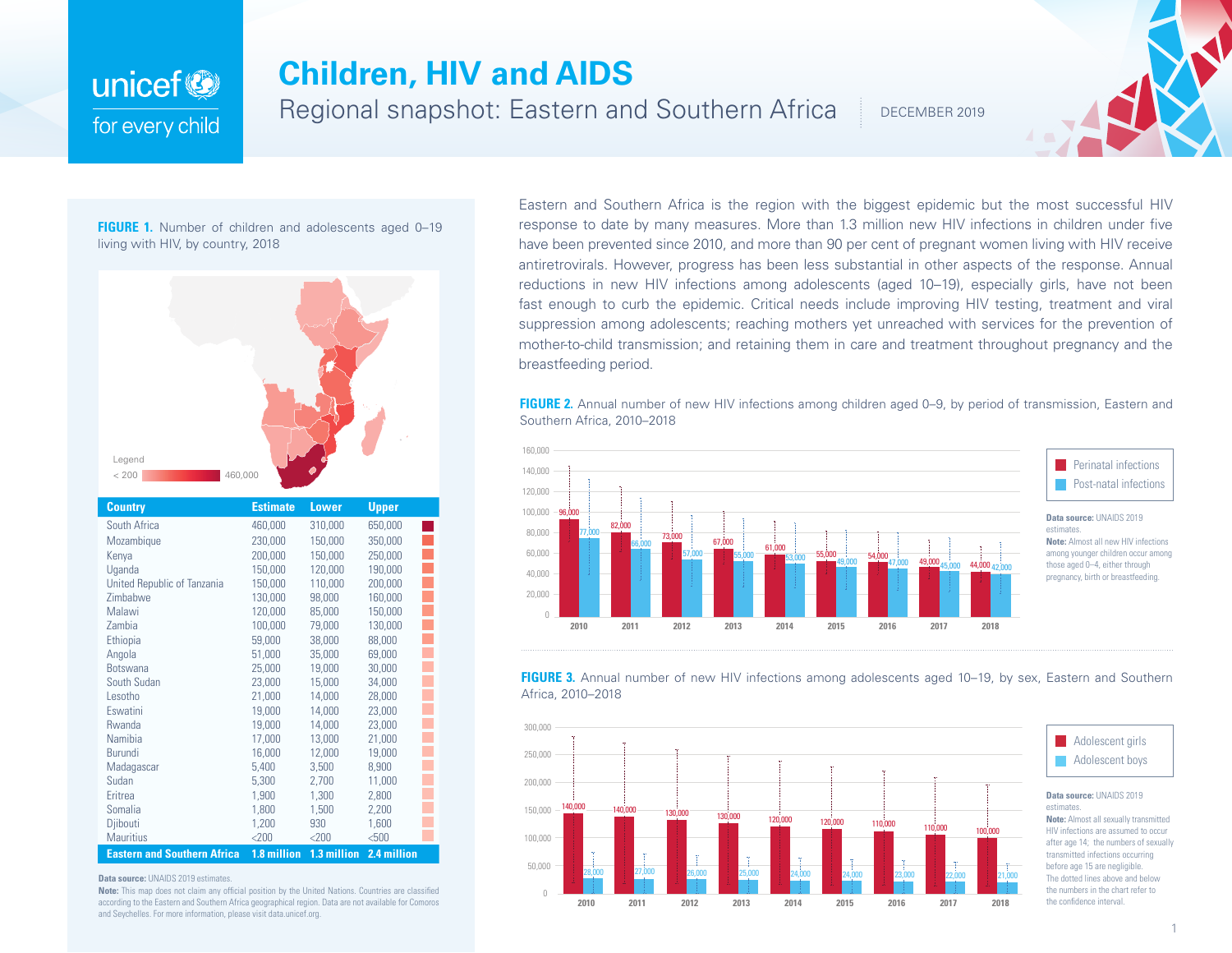## unicef<sup>(2)</sup> for every child

## **Children, HIV and AIDS**

Regional snapshot: Eastern and Southern Africa

DECEMBER 2019

**FIGURE 1.** Number of children and adolescents aged 0-19 living with HIV, by country, 2018



| <b>Country</b>                     | <b>Estimate</b> | Lower       | <b>Upper</b> |  |
|------------------------------------|-----------------|-------------|--------------|--|
| South Africa                       | 460,000         | 310,000     | 650,000      |  |
| Mozambique                         | 230,000         | 150,000     | 350,000      |  |
| Kenya                              | 200,000         | 150,000     | 250,000      |  |
| Uganda                             | 150,000         | 120,000     | 190,000      |  |
| United Republic of Tanzania        | 150,000         | 110,000     | 200,000      |  |
| Zimbabwe                           | 130,000         | 98,000      | 160,000      |  |
| Malawi                             | 120,000         | 85,000      | 150,000      |  |
| Zambia                             | 100,000         | 79,000      | 130,000      |  |
| Ethiopia                           | 59,000          | 38,000      | 88,000       |  |
| Angola                             | 51,000          | 35,000      | 69,000       |  |
| <b>Botswana</b>                    | 25,000          | 19,000      | 30,000       |  |
| South Sudan                        | 23,000          | 15,000      | 34,000       |  |
| Lesotho                            | 21,000          | 14,000      | 28,000       |  |
| Eswatini                           | 19,000          | 14,000      | 23,000       |  |
| Rwanda                             | 19,000          | 14,000      | 23,000       |  |
| Namibia                            | 17,000          | 13,000      | 21,000       |  |
| <b>Burundi</b>                     | 16,000          | 12,000      | 19,000       |  |
| Madagascar                         | 5,400           | 3,500       | 8,900        |  |
| Sudan                              | 5,300           | 2,700       | 11,000       |  |
| Eritrea                            | 1,900           | 1,300       | 2,800        |  |
| Somalia                            | 1,800           | 1,500       | 2,200        |  |
| Djibouti                           | 1,200           | 930         | 1,600        |  |
| <b>Mauritius</b>                   | $<$ 200         | $<$ 200     | < 500        |  |
| <b>Eastern and Southern Africa</b> | 1.8 million     | 1.3 million | 2.4 million  |  |

Eastern and Southern Africa is the region with the biggest epidemic but the most successful HIV response to date by many measures. More than 1.3 million new HIV infections in children under five have been prevented since 2010, and more than 90 per cent of pregnant women living with HIV receive antiretrovirals. However, progress has been less substantial in other aspects of the response. Annual reductions in new HIV infections among adolescents (aged 10–19), especially girls, have not been fast enough to curb the epidemic. Critical needs include improving HIV testing, treatment and viral suppression among adolescents; reaching mothers yet unreached with services for the prevention of mother-to-child transmission; and retaining them in care and treatment throughout pregnancy and the breastfeeding period.

**FIGURE 2.** Annual number of new HIV infections among children aged 0–9, by period of transmission, Eastern and Southern Africa, 2010–2018







**Data source:** UNAIDS 2019 estimates.

**Note:** This map does not claim any official position by the United Nations. Countries are classified according to the Eastern and Southern Africa geographical region. Data are not available for Comoros and Seychelles. For more information, please visit data.unicef.org.